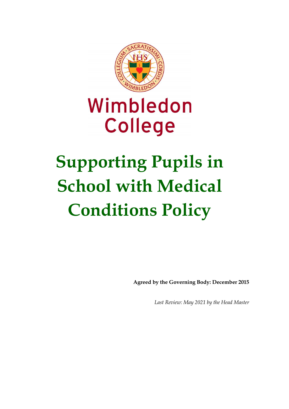

## Wimbledon **College**

# **Supporting Pupils in School with Medical Conditions Policy**

**Agreed by the Governing Body: December 2015**

*Last Review: May 2021 by the Head Master*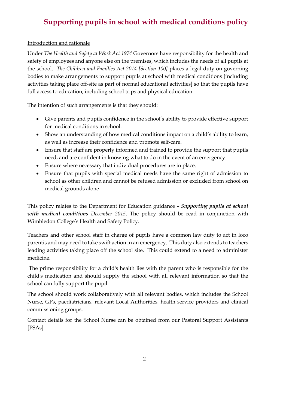#### Introduction and rationale

Under *The Health and Safety at Work Act 1974* Governors have responsibility for the health and safety of employees and anyone else on the premises, which includes the needs of all pupils at the school. *The Children and Families Act 2014 [Section 100]* places a legal duty on governing bodies to make arrangements to support pupils at school with medical conditions [including activities taking place off-site as part of normal educational activities] so that the pupils have full access to education, including school trips and physical education.

The intention of such arrangements is that they should:

- Give parents and pupils confidence in the school's ability to provide effective support for medical conditions in school.
- Show an understanding of how medical conditions impact on a child's ability to learn, as well as increase their confidence and promote self-care.
- Ensure that staff are properly informed and trained to provide the support that pupils need, and are confident in knowing what to do in the event of an emergency.
- Ensure where necessary that individual procedures are in place.
- Ensure that pupils with special medical needs have the same right of admission to school as other children and cannot be refused admission or excluded from school on medical grounds alone.

This policy relates to the Department for Education guidance – *Supporting pupils at school with medical conditions December 2015*. The policy should be read in conjunction with Wimbledon College's Health and Safety Policy.

Teachers and other school staff in charge of pupils have a common law duty to act in loco parentis and may need to take swift action in an emergency. This duty also extends to teachers leading activities taking place off the school site. This could extend to a need to administer medicine.

The prime responsibility for a child's health lies with the parent who is responsible for the child's medication and should supply the school with all relevant information so that the school can fully support the pupil.

The school should work collaboratively with all relevant bodies, which includes the School Nurse, GPs, paediatricians, relevant Local Authorities, health service providers and clinical commissioning groups.

Contact details for the School Nurse can be obtained from our Pastoral Support Assistants [PSAs]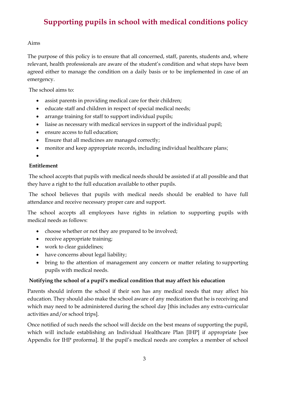#### Aims

The purpose of this policy is to ensure that all concerned, staff, parents, students and, where relevant, health professionals are aware of the student's condition and what steps have been agreed either to manage the condition on a daily basis or to be implemented in case of an emergency.

The school aims to:

- assist parents in providing medical care for their children;
- educate staff and children in respect of special medical needs;
- arrange training for staff to support individual pupils;
- liaise as necessary with medical services in support of the individual pupil;
- ensure access to full education:
- Ensure that all medicines are managed correctly;
- monitor and keep appropriate records, including individual healthcare plans;

•

#### **Entitlement**

The school accepts that pupils with medical needs should be assisted if at all possible and that they have a right to the full education available to other pupils.

The school believes that pupils with medical needs should be enabled to have full attendance and receive necessary proper care and support.

The school accepts all employees have rights in relation to supporting pupils with medical needs as follows:

- choose whether or not they are prepared to be involved;
- receive appropriate training;
- work to clear guidelines;
- have concerns about legal liability;
- bring to the attention of management any concern or matter relating to supporting pupils with medical needs.

#### **Notifying the school of a pupil's medical condition that may affect his education**

Parents should inform the school if their son has any medical needs that may affect his education. They should also make the school aware of any medication that he is receiving and which may need to be administered during the school day [this includes any extra-curricular activities and/or school trips].

Once notified of such needs the school will decide on the best means of supporting the pupil, which will include establishing an Individual Healthcare Plan [IHP] if appropriate [see Appendix for IHP proforma]. If the pupil's medical needs are complex a member of school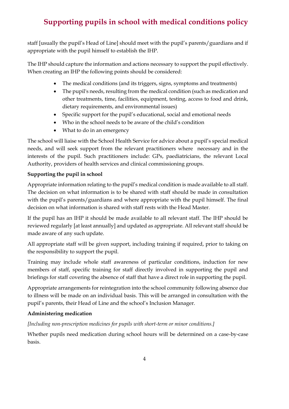staff [usually the pupil's Head of Line] should meet with the pupil's parents/guardians and if appropriate with the pupil himself to establish the IHP.

The IHP should capture the information and actions necessary to support the pupil effectively. When creating an IHP the following points should be considered:

- The medical conditions (and its triggers, signs, symptoms and treatments)
- The pupil's needs, resulting from the medical condition (such as medication and other treatments, time, facilities, equipment, testing, access to food and drink, dietary requirements, and environmental issues)
- Specific support for the pupil's educational, social and emotional needs
- Who in the school needs to be aware of the child's condition
- What to do in an emergency

The school will liaise with the School Health Service for advice about a pupil's special medical needs, and will seek support from the relevant practitioners where necessary and in the interests of the pupil. Such practitioners include: GPs, paediatricians, the relevant Local Authority, providers of health services and clinical commissioning groups.

#### **Supporting the pupil in school**

Appropriate information relating to the pupil's medical condition is made available to all staff. The decision on what information is to be shared with staff should be made in consultation with the pupil's parents/guardians and where appropriate with the pupil himself. The final decision on what information is shared with staff rests with the Head Master.

If the pupil has an IHP it should be made available to all relevant staff. The IHP should be reviewed regularly [at least annually] and updated as appropriate. All relevant staff should be made aware of any such update.

All appropriate staff will be given support, including training if required, prior to taking on the responsibility to support the pupil.

Training may include whole staff awareness of particular conditions, induction for new members of staff, specific training for staff directly involved in supporting the pupil and briefings for staff covering the absence of staff that have a direct role in supporting the pupil.

Appropriate arrangements for reintegration into the school community following absence due to illness will be made on an individual basis. This will be arranged in consultation with the pupil's parents, their Head of Line and the school's Inclusion Manager.

#### **Administering medication**

*[Including non-prescription medicines for pupils with short-term or minor conditions.]*

Whether pupils need medication during school hours will be determined on a case-by-case basis.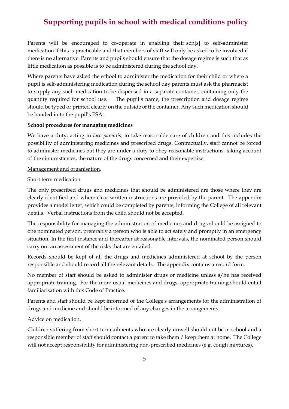Parents will be encouraged to co-operate in enabling their son[s] to self-administer medication if this is practicable and that members of staff will only be asked to be involved if there is no alternative. Parents and pupils should ensure that the dosage regime is such that as little medication as possible is to be administered during the school day.

Where parents have asked the school to administer the medication for their child or where a pupil is self-administering medication during the school day parents must ask the pharmacist to supply any such medication to be dispensed in a separate container, containing only the quantity required for school use. The pupil's name, the prescription and dosage regime should be typed or printed clearly on the outside of the container. Any such medication should be handed in to the pupil's PSA.

#### **School procedures for managing medicines**

We have a duty, acting in *loco parentis,* to take reasonable care of children and this includes the possibility of administering medicines and prescribed drugs. Contractually, staff cannot be forced to administer medicines but they are under a duty to obey reasonable instructions, taking account of the circumstances, the nature of the drugs concerned and their expertise.

#### Management and organisation.

#### Short term medication

The only prescribed drugs and medicines that should be administered are those where they are clearly identified and where clear written instructions are provided by the parent. The appendix provides a model letter, which could be completed by parents, informing the College of all relevant details. Verbal instructions from the child should not be accepted.

The responsibility for managing the administration of medicines and drugs should be assigned to one nominated person, preferably a person who is able to act safely and promptly in an emergency situation. In the first instance and thereafter at reasonable intervals, the nominated person should carry out an assessment of the risks that are entailed.

Records should be kept of all the drugs and medicines administered at school by the person responsible and should record all the relevant details. The appendix contains a record form.

No member of staff should be asked to administer drugs or medicine unless s/he has received appropriate training. For the more usual medicines and drugs, appropriate training should entail familiarisation with this Code of Practice.

Parents and staff should be kept informed of the College's arrangements for the administration of drugs and medicine and should be informed of any changes in the arrangements.

#### Advice on medication.

Children suffering from short-term ailments who are clearly unwell should not be in school and a responsible member of staff should contact a parent to take them / keep them at home. The College will not accept responsibility for administering non-prescribed medicines (e.g. cough mixtures).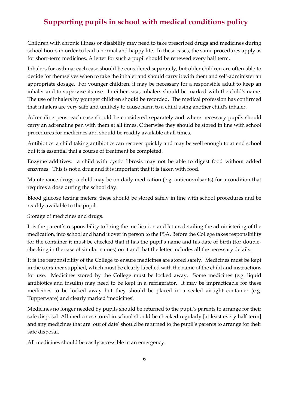Children with chronic illness or disability may need to take prescribed drugs and medicines during school hours in order to lead a normal and happy life. In these cases, the same procedures apply as for short-term medicines. A letter for such a pupil should be renewed every half term.

Inhalers for asthma: each case should be considered separately, but older children are often able to decide for themselves when to take the inhaler and should carry it with them and self-administer an appropriate dosage. For younger children, it may be necessary for a responsible adult to keep an inhaler and to supervise its use. In either case, inhalers should be marked with the child's name. The use of inhalers by younger children should be recorded. The medical profession has confirmed that inhalers are very safe and unlikely to cause harm to a child using another child's inhaler.

Adrenaline pens: each case should be considered separately and where necessary pupils should carry an adrenaline pen with them at all times. Otherwise they should be stored in line with school procedures for medicines and should be readily available at all times.

Antibiotics: a child taking antibiotics can recover quickly and may be well enough to attend school but it is essential that a course of treatment be completed.

Enzyme additives: a child with cystic fibrosis may not be able to digest food without added enzymes. This is not a drug and it is important that it is taken with food.

Maintenance drugs: a child may be on daily medication (e.g. anticonvulsants) for a condition that requires a dose during the school day.

Blood glucose testing meters: these should be stored safely in line with school procedures and be readily available to the pupil.

#### Storage of medicines and drugs.

It is the parent's responsibility to bring the medication and letter, detailing the administering of the medication, into school and hand it over in person to the PSA. Before the College takes responsibility for the container it must be checked that it has the pupil's name and his date of birth (for doublechecking in the case of similar names) on it and that the letter includes all the necessary details.

It is the responsibility of the College to ensure medicines are stored safely. Medicines must be kept in the container supplied, which must be clearly labelled with the name of the child and instructions for use. Medicines stored by the College must be locked away. Some medicines (e.g. liquid antibiotics and insulin) may need to be kept in a refrigerator. It may be impracticable for these medicines to be locked away but they should be placed in a sealed airtight container (e.g. Tupperware) and clearly marked 'medicines'.

Medicines no longer needed by pupils should be returned to the pupil's parents to arrange for their safe disposal. All medicines stored in school should be checked regularly [at least every half term] and any medicines that are 'out of date' should be returned to the pupil's parents to arrange for their safe disposal.

All medicines should be easily accessible in an emergency.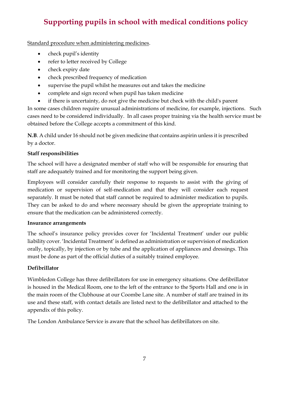Standard procedure when administering medicines.

- check pupil's identity
- refer to letter received by College
- check expiry date
- check prescribed frequency of medication
- supervise the pupil whilst he measures out and takes the medicine
- complete and sign record when pupil has taken medicine
- if there is uncertainty, do not give the medicine but check with the child's parent

In some cases children require unusual administrations of medicine, for example, injections. Such cases need to be considered individually. In all cases proper training via the health service must be obtained before the College accepts a commitment of this kind.

**N.B**. A child under 16 should not be given medicine that contains aspirin unless it is prescribed by a doctor.

#### **Staff responsibilities**

The school will have a designated member of staff who will be responsible for ensuring that staff are adequately trained and for monitoring the support being given.

Employees will consider carefully their response to requests to assist with the giving of medication or supervision of self-medication and that they will consider each request separately. It must be noted that staff cannot be required to administer medication to pupils. They can be asked to do and where necessary should be given the appropriate training to ensure that the medication can be administered correctly.

#### **Insurance arrangements**

The school's insurance policy provides cover for 'Incidental Treatment' under our public liability cover. 'Incidental Treatment' is defined as administration or supervision of medication orally, topically, by injection or by tube and the application of appliances and dressings. This must be done as part of the official duties of a suitably trained employee.

#### **Defibrillator**

Wimbledon College has three defibrillators for use in emergency situations. One defibrillator is housed in the Medical Room, one to the left of the entrance to the Sports Hall and one is in the main room of the Clubhouse at our Coombe Lane site. A number of staff are trained in its use and these staff, with contact details are listed next to the defibrillator and attached to the appendix of this policy.

The London Ambulance Service is aware that the school has defibrillators on site.